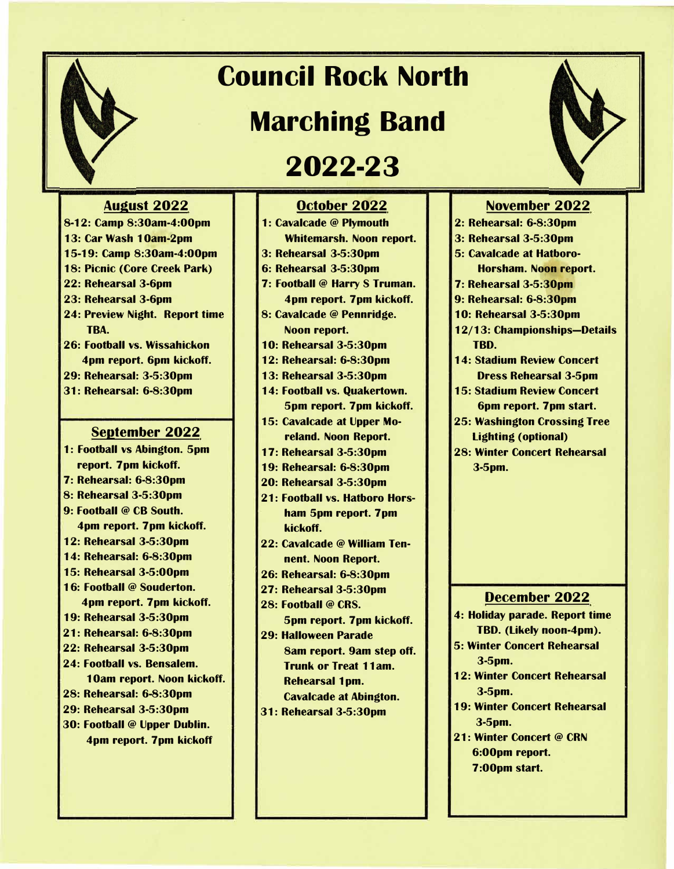## **Council Rock North**

## **Marching Band**

## **2022-23**

## **August 2022**

- **8-12: Camp 8:30am-4:00pm**
- **13: Car Wash 1 0am-2pm**
- **15-19: Camp 8:30am-4:00pm**
- **18: Picnic (Core Creek Park)**
- **22: Rehearsal 3-6pm**
- **23: Rehearsal 3-6pm**
- **24: Preview Night. Report time TBA.**
- **26: Football vs. Wissahickon 4pm report. 6pm kickoff.**
- **29: Rehearsal: 3-5:30pm**
- **31: Rehearsal: 6-8:30pm**

#### **September 2022**

- **1: Football vs Abington. 5pm report. 7pm kickoff.**
- **7: Rehearsal: 6-8:30pm**
- **8: Rehearsal 3-5:30pm**
- **9: Football @ CB South.**
- **4pm report. 7pm kickoff.**
- **12: Rehearsal 3-5:30pm**
- **14: Rehearsal: 6-8:30pm**
- **15: Rehearsal 3-5:00pm**
- **1 6: Football @ Souderton. 4pm report. 7pm kickoff.**
- **19: Rehearsal 3-5:30pm**
- **21: Rehearsal: 6-8:30pm**
- **22: Rehearsal 3-5:30pm**
- **24: Football vs. Bensalem.**
- **1 0am report. Noon kickoff.**
- **28: Rehearsal: 6-8:30pm**
- **29: Rehearsal 3-5:30pm**
- **30: Football @ Upper Dublin. 4pm report. 7pm kickoff**

## **October 2022**

- **1 : Cavalcade @ Plymouth Whitemarsh. Noon report. 3: Rehearsal 3-5:30pm**
- **6: Rehearsal 3-5:30pm**
- **7: Football @ Harry S Truman. 4pm report. 7pm kickoff.**
- **8: Cavalcade @ Pennridge. Noon report.**
- **10: Rehearsal 3-5:30pm**
- **12: Rehearsal: 6-8:30pm**
- **13: Rehearsal 3-5:30pm**
- **14: Football vs. Quakertown. 5pm report. 7pm kickoff.**
- **15: Cavalcade at Upper Moreland. Noon Report.**
- **17: Rehearsal 3-5:30pm**
- **19: Rehearsal: 6-8:30pm**
- **20: Rehearsal 3-5:30pm**
- **21: Football vs. Hatboro Horsham 5pm report. 7pm kickoff.**
- **22: Cavalcade@ William Tennent. Noon Report.**
- **26: Rehearsal: 6-8:30pm**
- **27: Rehearsal 3-5:30pm**
- **28: Football @ CRS. 5pm report. 7pm kickoff.**
- **29: Halloween Parade 8am report. 9am step off. Trunk or Treat 11 am. Rehearsal 1 pm. Cavalcade at Abington.**
- **31: Rehearsal 3-5:30pm**



### **November 2022**

- **2: Rehearsal: 6-8:30pm**
- **3: Rehearsal 3-5:30pm**
- **5: Cavalcade at Hatboro-Horsham. Noon report.**
- **7: Rehearsal 3-5:30pm**
- **9: Rehearsal: 6-8:30pm**
- **10: Rehearsal 3-5:30pm**
- **12/13: Championships-Details TBD.**
- **14: Stadium Review Concert Dress Rehearsal 3-5pm**
- **15: Stadium Review Concert 6pm report. 7pm start.**
- **25: Washington Crossing Tree Lighting ( optional)**
- **28: Winter Concert Rehearsal 3-5pm.**

### **December 2022**

- **4: Holiday parade. Report time TBD. (Likely noon-4pm).**
- **5: Winter Concert Rehearsal 3-5pm.**
- **12: Winter Concert Rehearsal 3-5pm.**
- **19: Winter Concert Rehearsal 3-5pm.**
- **21 : Winter Concert @ CRN 6:00pm report. 7 :00pm start.**